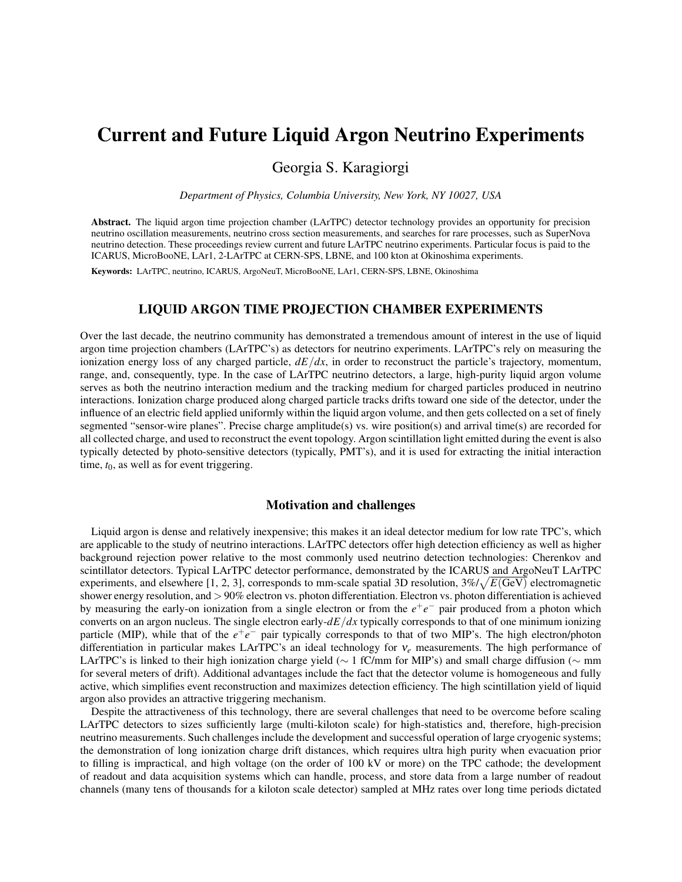# Current and Future Liquid Argon Neutrino Experiments

Georgia S. Karagiorgi

*Department of Physics, Columbia University, New York, NY 10027, USA*

Abstract. The liquid argon time projection chamber (LArTPC) detector technology provides an opportunity for precision neutrino oscillation measurements, neutrino cross section measurements, and searches for rare processes, such as SuperNova neutrino detection. These proceedings review current and future LArTPC neutrino experiments. Particular focus is paid to the ICARUS, MicroBooNE, LAr1, 2-LArTPC at CERN-SPS, LBNE, and 100 kton at Okinoshima experiments.

Keywords: LArTPC, neutrino, ICARUS, ArgoNeuT, MicroBooNE, LAr1, CERN-SPS, LBNE, Okinoshima

# LIQUID ARGON TIME PROJECTION CHAMBER EXPERIMENTS

Over the last decade, the neutrino community has demonstrated a tremendous amount of interest in the use of liquid argon time projection chambers (LArTPC's) as detectors for neutrino experiments. LArTPC's rely on measuring the ionization energy loss of any charged particle,  $dE/dx$ , in order to reconstruct the particle's trajectory, momentum, range, and, consequently, type. In the case of LArTPC neutrino detectors, a large, high-purity liquid argon volume serves as both the neutrino interaction medium and the tracking medium for charged particles produced in neutrino interactions. Ionization charge produced along charged particle tracks drifts toward one side of the detector, under the influence of an electric field applied uniformly within the liquid argon volume, and then gets collected on a set of finely segmented "sensor-wire planes". Precise charge amplitude(s) vs. wire position(s) and arrival time(s) are recorded for all collected charge, and used to reconstruct the event topology. Argon scintillation light emitted during the event is also typically detected by photo-sensitive detectors (typically, PMT's), and it is used for extracting the initial interaction time,  $t_0$ , as well as for event triggering.

## Motivation and challenges

Liquid argon is dense and relatively inexpensive; this makes it an ideal detector medium for low rate TPC's, which are applicable to the study of neutrino interactions. LArTPC detectors offer high detection efficiency as well as higher background rejection power relative to the most commonly used neutrino detection technologies: Cherenkov and scintillator detectors. Typical LArTPC detector performance, demonstrated by the ICARUS and ArgoNeuT LArTPC experiments, and elsewhere [1, 2, 3], corresponds to mm-scale spatial 3D resolution,  $3\%/\sqrt{E(\text{GeV})}$  electromagnetic shower energy resolution, and > 90% electron vs. photon differentiation. Electron vs. photon differentiation is achieved by measuring the early-on ionization from a single electron or from the  $e^+e^-$  pair produced from a photon which converts on an argon nucleus. The single electron early-*dE*/*dx* typically corresponds to that of one minimum ionizing particle (MIP), while that of the  $e^+e^-$  pair typically corresponds to that of two MIP's. The high electron/photon differentiation in particular makes LArTPC's an ideal technology for ν*<sup>e</sup>* measurements. The high performance of LArTPC's is linked to their high ionization charge yield (∼ 1 fC/mm for MIP's) and small charge diffusion (∼ mm for several meters of drift). Additional advantages include the fact that the detector volume is homogeneous and fully active, which simplifies event reconstruction and maximizes detection efficiency. The high scintillation yield of liquid argon also provides an attractive triggering mechanism.

Despite the attractiveness of this technology, there are several challenges that need to be overcome before scaling LArTPC detectors to sizes sufficiently large (multi-kiloton scale) for high-statistics and, therefore, high-precision neutrino measurements. Such challenges include the development and successful operation of large cryogenic systems; the demonstration of long ionization charge drift distances, which requires ultra high purity when evacuation prior to filling is impractical, and high voltage (on the order of 100 kV or more) on the TPC cathode; the development of readout and data acquisition systems which can handle, process, and store data from a large number of readout channels (many tens of thousands for a kiloton scale detector) sampled at MHz rates over long time periods dictated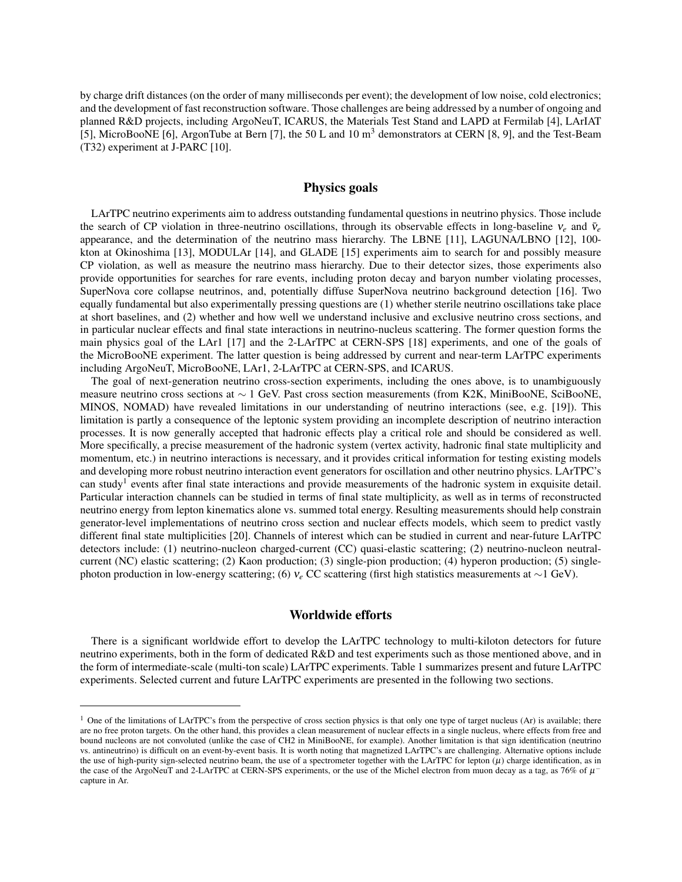by charge drift distances (on the order of many milliseconds per event); the development of low noise, cold electronics; and the development of fast reconstruction software. Those challenges are being addressed by a number of ongoing and planned R&D projects, including ArgoNeuT, ICARUS, the Materials Test Stand and LAPD at Fermilab [4], LArIAT [5], MicroBooNE [6], ArgonTube at Bern [7], the 50 L and 10 m<sup>3</sup> demonstrators at CERN [8, 9], and the Test-Beam (T32) experiment at J-PARC [10].

## Physics goals

LArTPC neutrino experiments aim to address outstanding fundamental questions in neutrino physics. Those include the search of CP violation in three-neutrino oscillations, through its observable effects in long-baseline  $v_e$  and  $\bar{v}_e$ appearance, and the determination of the neutrino mass hierarchy. The LBNE [11], LAGUNA/LBNO [12], 100 kton at Okinoshima [13], MODULAr [14], and GLADE [15] experiments aim to search for and possibly measure CP violation, as well as measure the neutrino mass hierarchy. Due to their detector sizes, those experiments also provide opportunities for searches for rare events, including proton decay and baryon number violating processes, SuperNova core collapse neutrinos, and, potentially diffuse SuperNova neutrino background detection [16]. Two equally fundamental but also experimentally pressing questions are (1) whether sterile neutrino oscillations take place at short baselines, and (2) whether and how well we understand inclusive and exclusive neutrino cross sections, and in particular nuclear effects and final state interactions in neutrino-nucleus scattering. The former question forms the main physics goal of the LAr1 [17] and the 2-LArTPC at CERN-SPS [18] experiments, and one of the goals of the MicroBooNE experiment. The latter question is being addressed by current and near-term LArTPC experiments including ArgoNeuT, MicroBooNE, LAr1, 2-LArTPC at CERN-SPS, and ICARUS.

The goal of next-generation neutrino cross-section experiments, including the ones above, is to unambiguously measure neutrino cross sections at ∼ 1 GeV. Past cross section measurements (from K2K, MiniBooNE, SciBooNE, MINOS, NOMAD) have revealed limitations in our understanding of neutrino interactions (see, e.g. [19]). This limitation is partly a consequence of the leptonic system providing an incomplete description of neutrino interaction processes. It is now generally accepted that hadronic effects play a critical role and should be considered as well. More specifically, a precise measurement of the hadronic system (vertex activity, hadronic final state multiplicity and momentum, etc.) in neutrino interactions is necessary, and it provides critical information for testing existing models and developing more robust neutrino interaction event generators for oscillation and other neutrino physics. LArTPC's can study<sup>1</sup> events after final state interactions and provide measurements of the hadronic system in exquisite detail. Particular interaction channels can be studied in terms of final state multiplicity, as well as in terms of reconstructed neutrino energy from lepton kinematics alone vs. summed total energy. Resulting measurements should help constrain generator-level implementations of neutrino cross section and nuclear effects models, which seem to predict vastly different final state multiplicities [20]. Channels of interest which can be studied in current and near-future LArTPC detectors include: (1) neutrino-nucleon charged-current (CC) quasi-elastic scattering; (2) neutrino-nucleon neutralcurrent (NC) elastic scattering; (2) Kaon production; (3) single-pion production; (4) hyperon production; (5) singlephoton production in low-energy scattering; (6) ν*<sup>e</sup>* CC scattering (first high statistics measurements at ∼1 GeV).

## Worldwide efforts

There is a significant worldwide effort to develop the LArTPC technology to multi-kiloton detectors for future neutrino experiments, both in the form of dedicated R&D and test experiments such as those mentioned above, and in the form of intermediate-scale (multi-ton scale) LArTPC experiments. Table 1 summarizes present and future LArTPC experiments. Selected current and future LArTPC experiments are presented in the following two sections.

 $<sup>1</sup>$  One of the limitations of LArTPC's from the perspective of cross section physics is that only one type of target nucleus (Ar) is available; there</sup> are no free proton targets. On the other hand, this provides a clean measurement of nuclear effects in a single nucleus, where effects from free and bound nucleons are not convoluted (unlike the case of CH2 in MiniBooNE, for example). Another limitation is that sign identification (neutrino vs. antineutrino) is difficult on an event-by-event basis. It is worth noting that magnetized LArTPC's are challenging. Alternative options include the use of high-purity sign-selected neutrino beam, the use of a spectrometer together with the LArTPC for lepton  $(\mu)$  charge identification, as in the case of the ArgoNeuT and 2-LArTPC at CERN-SPS experiments, or the use of the Michel electron from muon decay as a tag, as 76% of  $\mu$ <sup>-</sup> capture in Ar.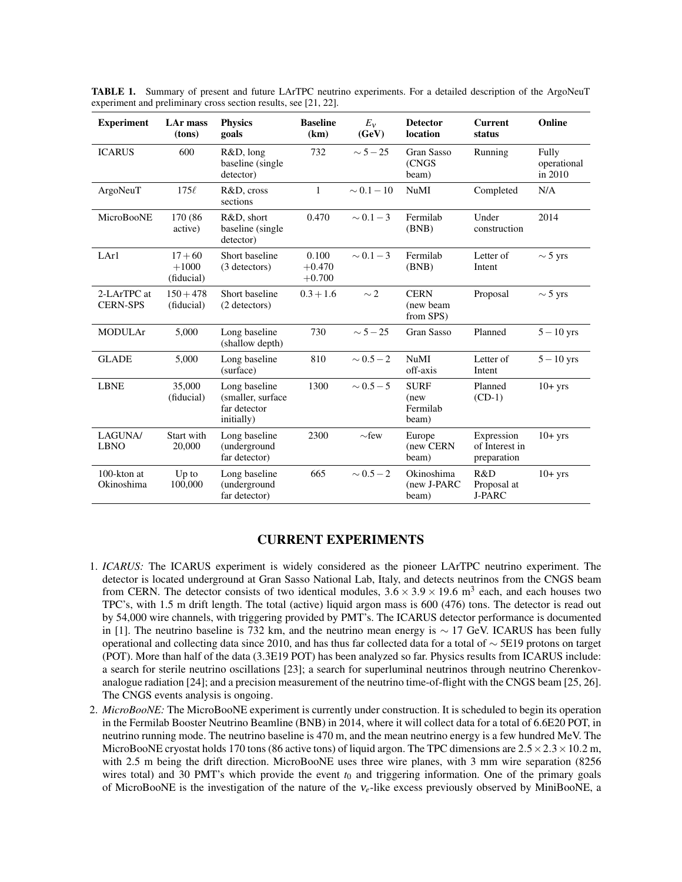| <b>Experiment</b>              | LAr mass<br>(tons)                 | <b>Physics</b><br>goals                                          | <b>Baseline</b><br>(km)       | $E_v$<br>(GeV)  | <b>Detector</b><br>location              | <b>Current</b><br>status                    | Online                          |
|--------------------------------|------------------------------------|------------------------------------------------------------------|-------------------------------|-----------------|------------------------------------------|---------------------------------------------|---------------------------------|
| <b>ICARUS</b>                  | 600                                | R&D, long<br>baseline (single)<br>detector)                      | 732                           | $\sim$ 5 $-$ 25 | Gran Sasso<br>(CNGS<br>beam)             | Running                                     | Fully<br>operational<br>in 2010 |
| ArgoNeuT                       | $175\ell$                          | R&D, cross<br>sections                                           | $\mathbf{1}$                  | $\sim 0.1 - 10$ | <b>NuMI</b>                              | Completed                                   | N/A                             |
| MicroBooNE                     | 170 (86<br>active)                 | R&D, short<br>baseline (single)<br>detector)                     | 0.470                         | $\sim 0.1 - 3$  | Fermilab<br>(BNB)                        | Under<br>construction                       | 2014                            |
| LAr1                           | $17 + 60$<br>$+1000$<br>(fiducial) | Short baseline<br>(3 detectors)                                  | 0.100<br>$+0.470$<br>$+0.700$ | $\sim 0.1 - 3$  | Fermilab<br>(BNB)                        | Letter of<br>Intent                         | $\sim$ 5 yrs                    |
| 2-LArTPC at<br><b>CERN-SPS</b> | $150 + 478$<br>(fiducial)          | Short baseline<br>(2 detectors)                                  | $0.3 + 1.6$                   | $\sim$ 2        | <b>CERN</b><br>(new beam<br>from SPS)    | Proposal                                    | $\sim$ 5 yrs                    |
| <b>MODULAr</b>                 | 5,000                              | Long baseline<br>(shallow depth)                                 | 730                           | $\sim 5 - 25$   | Gran Sasso                               | Planned                                     | $5 - 10$ yrs                    |
| <b>GLADE</b>                   | 5,000                              | Long baseline<br>(surface)                                       | 810                           | $\sim 0.5 - 2$  | <b>NuMI</b><br>off-axis                  | Letter of<br>Intent                         | $5 - 10$ yrs                    |
| <b>LBNE</b>                    | 35,000<br>(fiducial)               | Long baseline<br>(smaller, surface<br>far detector<br>initially) | 1300                          | $\sim 0.5 - 5$  | <b>SURF</b><br>(new<br>Fermilab<br>beam) | Planned<br>$(CD-1)$                         | $10+yrs$                        |
| LAGUNA/<br><b>LBNO</b>         | Start with<br>20,000               | Long baseline<br>(underground<br>far detector)                   | 2300                          | $\sim$ few      | Europe<br>(new CERN<br>beam)             | Expression<br>of Interest in<br>preparation | $10+$ yrs                       |
| $100$ -kton at<br>Okinoshima   | $Up$ to<br>100,000                 | Long baseline<br>(underground<br>far detector)                   | 665                           | $\sim 0.5 - 2$  | Okinoshima<br>(new J-PARC<br>beam)       | R&D<br>Proposal at<br><b>J-PARC</b>         | $10+yrs$                        |

TABLE 1. Summary of present and future LArTPC neutrino experiments. For a detailed description of the ArgoNeuT experiment and preliminary cross section results, see [21, 22].

## CURRENT EXPERIMENTS

- 1. *ICARUS:* The ICARUS experiment is widely considered as the pioneer LArTPC neutrino experiment. The detector is located underground at Gran Sasso National Lab, Italy, and detects neutrinos from the CNGS beam from CERN. The detector consists of two identical modules,  $3.6 \times 3.9 \times 19.6$  m<sup>3</sup> each, and each houses two TPC's, with 1.5 m drift length. The total (active) liquid argon mass is 600 (476) tons. The detector is read out by 54,000 wire channels, with triggering provided by PMT's. The ICARUS detector performance is documented in [1]. The neutrino baseline is 732 km, and the neutrino mean energy is ∼ 17 GeV. ICARUS has been fully operational and collecting data since 2010, and has thus far collected data for a total of ∼ 5E19 protons on target (POT). More than half of the data (3.3E19 POT) has been analyzed so far. Physics results from ICARUS include: a search for sterile neutrino oscillations [23]; a search for superluminal neutrinos through neutrino Cherenkovanalogue radiation [24]; and a precision measurement of the neutrino time-of-flight with the CNGS beam [25, 26]. The CNGS events analysis is ongoing.
- 2. *MicroBooNE:* The MicroBooNE experiment is currently under construction. It is scheduled to begin its operation in the Fermilab Booster Neutrino Beamline (BNB) in 2014, where it will collect data for a total of 6.6E20 POT, in neutrino running mode. The neutrino baseline is 470 m, and the mean neutrino energy is a few hundred MeV. The MicroBooNE cryostat holds 170 tons (86 active tons) of liquid argon. The TPC dimensions are  $2.5 \times 2.3 \times 10.2$  m, with 2.5 m being the drift direction. MicroBooNE uses three wire planes, with 3 mm wire separation (8256) wires total) and 30 PMT's which provide the event  $t_0$  and triggering information. One of the primary goals of MicroBooNE is the investigation of the nature of the ν*e*-like excess previously observed by MiniBooNE, a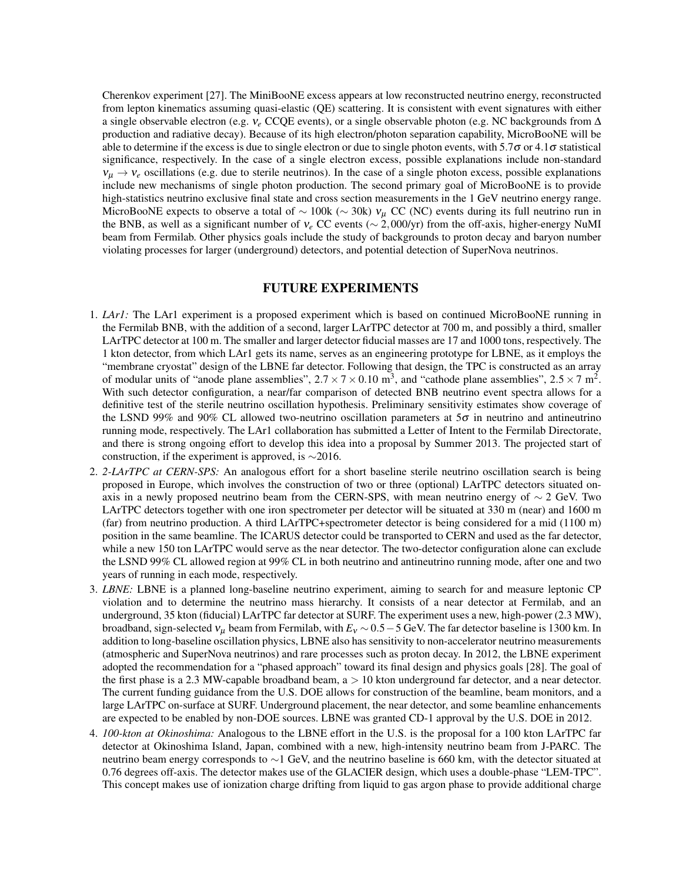Cherenkov experiment [27]. The MiniBooNE excess appears at low reconstructed neutrino energy, reconstructed from lepton kinematics assuming quasi-elastic (QE) scattering. It is consistent with event signatures with either a single observable electron (e.g. ν*<sup>e</sup>* CCQE events), or a single observable photon (e.g. NC backgrounds from ∆ production and radiative decay). Because of its high electron/photon separation capability, MicroBooNE will be able to determine if the excess is due to single electron or due to single photon events, with 5.7 $\sigma$  or 4.1 $\sigma$  statistical significance, respectively. In the case of a single electron excess, possible explanations include non-standard  $v_{\mu} \rightarrow v_{e}$  oscillations (e.g. due to sterile neutrinos). In the case of a single photon excess, possible explanations include new mechanisms of single photon production. The second primary goal of MicroBooNE is to provide high-statistics neutrino exclusive final state and cross section measurements in the 1 GeV neutrino energy range. MicroBooNE expects to observe a total of  $\sim$  100k ( $\sim$  30k)  $v_\mu$  CC (NC) events during its full neutrino run in the BNB, as well as a significant number of  $v_e$  CC events ( $\sim$  2,000/yr) from the off-axis, higher-energy NuMI beam from Fermilab. Other physics goals include the study of backgrounds to proton decay and baryon number violating processes for larger (underground) detectors, and potential detection of SuperNova neutrinos.

## FUTURE EXPERIMENTS

- 1. *LAr1:* The LAr1 experiment is a proposed experiment which is based on continued MicroBooNE running in the Fermilab BNB, with the addition of a second, larger LArTPC detector at 700 m, and possibly a third, smaller LArTPC detector at 100 m. The smaller and larger detector fiducial masses are 17 and 1000 tons, respectively. The 1 kton detector, from which LAr1 gets its name, serves as an engineering prototype for LBNE, as it employs the "membrane cryostat" design of the LBNE far detector. Following that design, the TPC is constructed as an array of modular units of "anode plane assemblies",  $2.7 \times 7 \times 0.10$  m<sup>3</sup>, and "cathode plane assemblies",  $2.5 \times 7$  m<sup>2</sup>. With such detector configuration, a near/far comparison of detected BNB neutrino event spectra allows for a definitive test of the sterile neutrino oscillation hypothesis. Preliminary sensitivity estimates show coverage of the LSND 99% and 90% CL allowed two-neutrino oscillation parameters at  $5\sigma$  in neutrino and antineutrino running mode, respectively. The LAr1 collaboration has submitted a Letter of Intent to the Fermilab Directorate, and there is strong ongoing effort to develop this idea into a proposal by Summer 2013. The projected start of construction, if the experiment is approved, is ∼2016.
- 2. *2-LArTPC at CERN-SPS:* An analogous effort for a short baseline sterile neutrino oscillation search is being proposed in Europe, which involves the construction of two or three (optional) LArTPC detectors situated onaxis in a newly proposed neutrino beam from the CERN-SPS, with mean neutrino energy of  $\sim$  2 GeV. Two LArTPC detectors together with one iron spectrometer per detector will be situated at 330 m (near) and 1600 m (far) from neutrino production. A third LArTPC+spectrometer detector is being considered for a mid (1100 m) position in the same beamline. The ICARUS detector could be transported to CERN and used as the far detector, while a new 150 ton LArTPC would serve as the near detector. The two-detector configuration alone can exclude the LSND 99% CL allowed region at 99% CL in both neutrino and antineutrino running mode, after one and two years of running in each mode, respectively.
- 3. *LBNE:* LBNE is a planned long-baseline neutrino experiment, aiming to search for and measure leptonic CP violation and to determine the neutrino mass hierarchy. It consists of a near detector at Fermilab, and an underground, 35 kton (fiducial) LArTPC far detector at SURF. The experiment uses a new, high-power (2.3 MW), broadband, sign-selected  $v_\mu$  beam from Fermilab, with  $E_v \sim 0.5-5$  GeV. The far detector baseline is 1300 km. In addition to long-baseline oscillation physics, LBNE also has sensitivity to non-accelerator neutrino measurements (atmospheric and SuperNova neutrinos) and rare processes such as proton decay. In 2012, the LBNE experiment adopted the recommendation for a "phased approach" toward its final design and physics goals [28]. The goal of the first phase is a 2.3 MW-capable broadband beam,  $a > 10$  kton underground far detector, and a near detector. The current funding guidance from the U.S. DOE allows for construction of the beamline, beam monitors, and a large LArTPC on-surface at SURF. Underground placement, the near detector, and some beamline enhancements are expected to be enabled by non-DOE sources. LBNE was granted CD-1 approval by the U.S. DOE in 2012.
- 4. *100-kton at Okinoshima:* Analogous to the LBNE effort in the U.S. is the proposal for a 100 kton LArTPC far detector at Okinoshima Island, Japan, combined with a new, high-intensity neutrino beam from J-PARC. The neutrino beam energy corresponds to ∼1 GeV, and the neutrino baseline is 660 km, with the detector situated at 0.76 degrees off-axis. The detector makes use of the GLACIER design, which uses a double-phase "LEM-TPC". This concept makes use of ionization charge drifting from liquid to gas argon phase to provide additional charge